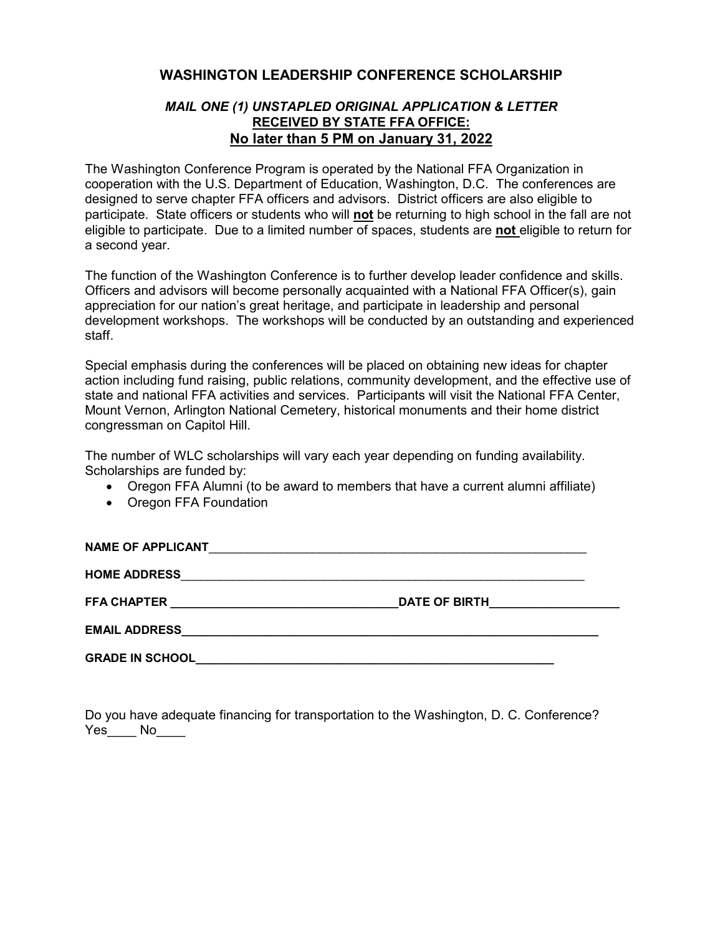## **WASHINGTON LEADERSHIP CONFERENCE SCHOLARSHIP**

## *MAIL ONE (1) UNSTAPLED ORIGINAL APPLICATION & LETTER* **RECEIVED BY STATE FFA OFFICE: No later than 5 PM on January 31, 2022**

The Washington Conference Program is operated by the National FFA Organization in cooperation with the U.S. Department of Education, Washington, D.C. The conferences are designed to serve chapter FFA officers and advisors. District officers are also eligible to participate. State officers or students who will **not** be returning to high school in the fall are not eligible to participate. Due to a limited number of spaces, students are **not** eligible to return for a second year.

The function of the Washington Conference is to further develop leader confidence and skills. Officers and advisors will become personally acquainted with a National FFA Officer(s), gain appreciation for our nation's great heritage, and participate in leadership and personal development workshops. The workshops will be conducted by an outstanding and experienced staff.

Special emphasis during the conferences will be placed on obtaining new ideas for chapter action including fund raising, public relations, community development, and the effective use of state and national FFA activities and services. Participants will visit the National FFA Center, Mount Vernon, Arlington National Cemetery, historical monuments and their home district congressman on Capitol Hill.

The number of WLC scholarships will vary each year depending on funding availability. Scholarships are funded by:

- Oregon FFA Alumni (to be award to members that have a current alumni affiliate)
- Oregon FFA Foundation

| <b>NAME OF APPLICANT</b>                                                        |                      |
|---------------------------------------------------------------------------------|----------------------|
| <b>HOME ADDRESS</b>                                                             |                      |
| <b>FFA CHAPTER</b>                                                              | <b>DATE OF BIRTH</b> |
| <b>EMAIL ADDRESS</b><br><u> 1989 - Johann Stein, fransk politiker (d. 1989)</u> |                      |
| <b>GRADE IN SCHOOL</b>                                                          |                      |

Do you have adequate financing for transportation to the Washington, D. C. Conference? Yes\_\_\_\_ No\_\_\_\_